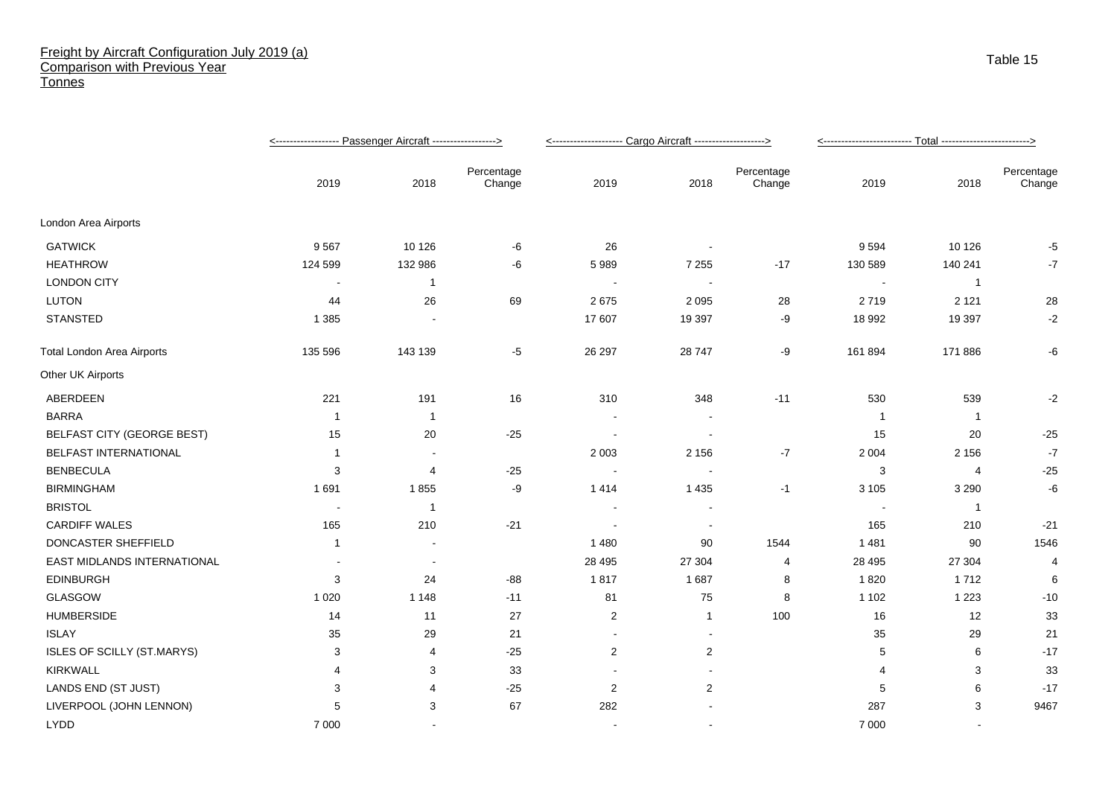## Freight by Aircraft Configuration July 2019 (a) Comparison with Previous Year **Tonnes**

|                                   |                |                          | <--------------------- Cargo Aircraft --------------------> |                |                          |                      |         |                |                      |
|-----------------------------------|----------------|--------------------------|-------------------------------------------------------------|----------------|--------------------------|----------------------|---------|----------------|----------------------|
|                                   | 2019           | 2018                     | Percentage<br>Change                                        | 2019           | 2018                     | Percentage<br>Change | 2019    | 2018           | Percentage<br>Change |
| London Area Airports              |                |                          |                                                             |                |                          |                      |         |                |                      |
| <b>GATWICK</b>                    | 9567           | 10 1 26                  | -6                                                          | 26             |                          |                      | 9 5 9 4 | 10 1 26        | -5                   |
| <b>HEATHROW</b>                   | 124 599        | 132 986                  | -6                                                          | 5989           | 7 2 5 5                  | $-17$                | 130 589 | 140 241        | -7                   |
| <b>LONDON CITY</b>                | $\blacksquare$ | $\mathbf{1}$             |                                                             |                | $\overline{\phantom{a}}$ |                      |         | $\mathbf{1}$   |                      |
| <b>LUTON</b>                      | 44             | 26                       | 69                                                          | 2675           | 2 0 9 5                  | 28                   | 2719    | 2 1 2 1        | 28                   |
| STANSTED                          | 1 3 8 5        |                          |                                                             | 17 607         | 19 397                   | -9                   | 18 992  | 19 3 9 7       | $-2$                 |
| <b>Total London Area Airports</b> | 135 596        | 143 139                  | -5                                                          | 26 297         | 28 747                   | -9                   | 161 894 | 171 886        | -6                   |
| Other UK Airports                 |                |                          |                                                             |                |                          |                      |         |                |                      |
| ABERDEEN                          | 221            | 191                      | 16                                                          | 310            | 348                      | $-11$                | 530     | 539            | -2                   |
| <b>BARRA</b>                      | -1             | -1                       |                                                             |                |                          |                      | - 1     | -1             |                      |
| <b>BELFAST CITY (GEORGE BEST)</b> | 15             | 20                       | $-25$                                                       |                |                          |                      | 15      | 20             | $-25$                |
| BELFAST INTERNATIONAL             | -1             | $\overline{\phantom{a}}$ |                                                             | 2 0 0 3        | 2 1 5 6                  | $-7$                 | 2 0 0 4 | 2 1 5 6        | $-7$                 |
| <b>BENBECULA</b>                  | 3              | 4                        | $-25$                                                       |                |                          |                      | 3       | 4              | $-25$                |
| <b>BIRMINGHAM</b>                 | 1691           | 1855                     | -9                                                          | 1414           | 1 4 3 5                  | $-1$                 | 3 1 0 5 | 3 2 9 0        | -6                   |
| <b>BRISTOL</b>                    |                | 1                        |                                                             |                |                          |                      |         | $\overline{1}$ |                      |
| <b>CARDIFF WALES</b>              | 165            | 210                      | $-21$                                                       |                | $\overline{\phantom{a}}$ |                      | 165     | 210            | $-21$                |
| DONCASTER SHEFFIELD               | $\overline{1}$ | $\blacksquare$           |                                                             | 1480           | 90                       | 1544                 | 1481    | 90             | 1546                 |
| EAST MIDLANDS INTERNATIONAL       |                | $\overline{\phantom{a}}$ |                                                             | 28 4 95        | 27 304                   | 4                    | 28 4 95 | 27 304         | $\overline{4}$       |
| <b>EDINBURGH</b>                  | 3              | 24                       | $-88$                                                       | 1817           | 1687                     | 8                    | 1820    | 1712           | 6                    |
| GLASGOW                           | 1 0 2 0        | 1 1 4 8                  | $-11$                                                       | 81             | 75                       | 8                    | 1 1 0 2 | 1 2 2 3        | $-10$                |
| <b>HUMBERSIDE</b>                 | 14             | 11                       | 27                                                          | $\overline{2}$ | 1                        | 100                  | 16      | 12             | 33                   |
| <b>ISLAY</b>                      | 35             | 29                       | 21                                                          | $\sim$         | $\overline{\phantom{a}}$ |                      | 35      | 29             | 21                   |
| ISLES OF SCILLY (ST.MARYS)        | 3              | 4                        | $-25$                                                       | $\overline{2}$ | 2                        |                      | 5       | 6              | $-17$                |
| <b>KIRKWALL</b>                   | 4              | 3                        | 33                                                          |                |                          |                      | 4       | 3              | 33                   |
| LANDS END (ST JUST)               | 3              | 4                        | $-25$                                                       | $\overline{2}$ | $\overline{2}$           |                      | 5       | 6              | $-17$                |
| LIVERPOOL (JOHN LENNON)           | 5              | 3                        | 67                                                          | 282            |                          |                      | 287     | 3              | 9467                 |
| <b>LYDD</b>                       | 7 0 0 0        |                          |                                                             | $\blacksquare$ | $\blacksquare$           |                      | 7 0 0 0 | $\sim$         |                      |